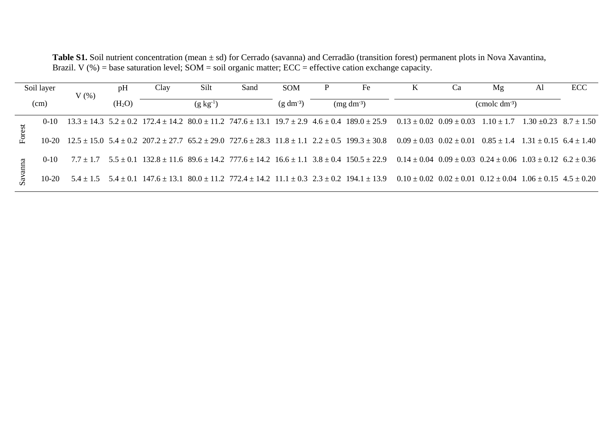Table S1. Soil nutrient concentration (mean ± sd) for Cerrado (savanna) and Cerradão (transition forest) permanent plots in Nova Xavantina, Brazil. V (%) = base saturation level;  $SOM = soil$  organic matter;  $ECC =$  effective cation exchange capacity.

| Soil layer<br>(cm) |          | V(%) | pH                 | Clay             | Silt | Sand                      | <b>SOM</b> |                        | Fe                                                                                                                                                                                                                  | K |  | Mg | Al                                            | ECC |
|--------------------|----------|------|--------------------|------------------|------|---------------------------|------------|------------------------|---------------------------------------------------------------------------------------------------------------------------------------------------------------------------------------------------------------------|---|--|----|-----------------------------------------------|-----|
|                    |          |      | (H <sub>2</sub> O) | $(g \, kg^{-1})$ |      | $(g dm-3)$<br>$(mg dm-3)$ |            | $\rm (cmolc\ dm^{-3})$ |                                                                                                                                                                                                                     |   |  |    |                                               |     |
| Forest             | $0-10$   |      |                    |                  |      |                           |            |                        | $13.3 \pm 14.3$ $5.2 \pm 0.2$ $172.4 \pm 14.2$ $80.0 \pm 11.2$ $747.6 \pm 13.1$ $19.7 \pm 2.9$ $4.6 \pm 0.4$ $189.0 \pm 25.9$ $0.13 \pm 0.02$ $0.09 \pm 0.03$                                                       |   |  |    | $1.10 \pm 1.7$ $1.30 \pm 0.23$ $8.7 \pm 1.50$ |     |
|                    |          |      |                    |                  |      |                           |            |                        | $10-20$ $12.5 \pm 15.0$ $5.4 \pm 0.2$ $207.2 \pm 27.7$ $65.2 \pm 29.0$ $727.6 \pm 28.3$ $11.8 \pm 1.1$ $2.2 \pm 0.5$ $199.3 \pm 30.8$ $0.09 \pm 0.03$ $0.02 \pm 0.01$ $0.85 \pm 1.4$ $1.31 \pm 0.15$ $6.4 \pm 1.40$ |   |  |    |                                               |     |
|                    | $0 - 10$ |      |                    |                  |      |                           |            |                        | $7.7 \pm 1.7$ $5.5 \pm 0.1$ $132.8 \pm 11.6$ $89.6 \pm 14.2$ $777.6 \pm 14.2$ $16.6 \pm 1.1$ $3.8 \pm 0.4$ $150.5 \pm 22.9$ $0.14 \pm 0.04$ $0.09 \pm 0.03$ $0.24 \pm 0.06$ $1.03 \pm 0.12$ $6.2 \pm 0.36$          |   |  |    |                                               |     |
|                    | $10-20$  |      |                    |                  |      |                           |            |                        | $5.4 \pm 1.5$ $5.4 \pm 0.1$ $147.6 \pm 13.1$ $80.0 \pm 11.2$ $772.4 \pm 14.2$ $11.1 \pm 0.3$ $2.3 \pm 0.2$ $194.1 \pm 13.9$ $0.10 \pm 0.02$ $0.02 \pm 0.01$ $0.12 \pm 0.04$ $1.06 \pm 0.15$ $4.5 \pm 0.20$          |   |  |    |                                               |     |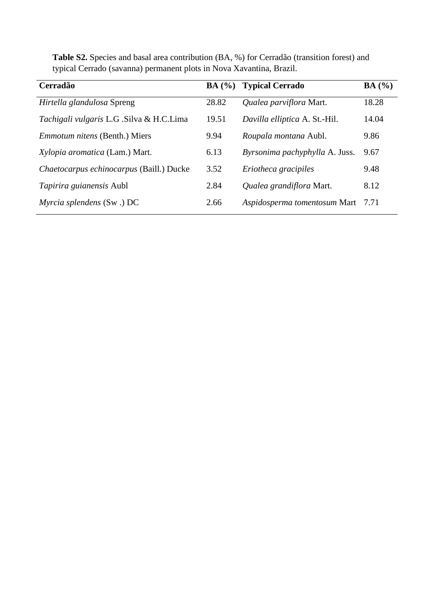| Cerradão                                 | BA(%) | <b>Typical Cerrado</b>         | BA(%) |
|------------------------------------------|-------|--------------------------------|-------|
| Hirtella glandulosa Spreng               | 28.82 | Qualea parviflora Mart.        | 18.28 |
| Tachigali vulgaris L.G .Silva & H.C.Lima | 19.51 | Davilla elliptica A. St.-Hil.  | 14.04 |
| <i>Emmotum nitens</i> (Benth.) Miers     | 9.94  | Roupala montana Aubl.          | 9.86  |
| Xylopia aromatica (Lam.) Mart.           | 6.13  | Byrsonima pachyphylla A. Juss. | 9.67  |
| Chaetocarpus echinocarpus (Baill.) Ducke | 3.52  | Eriotheca gracipiles           | 9.48  |
| Tapirira guianensis Aubl                 | 2.84  | Qualea grandiflora Mart.       | 8.12  |
| Myrcia splendens $(Sw)$ DC               | 2.66  | Aspidosperma tomentosum Mart   | 7.71  |

**Table S2.** Species and basal area contribution (BA, %) for Cerradão (transition forest) and typical Cerrado (savanna) permanent plots in Nova Xavantina, Brazil.